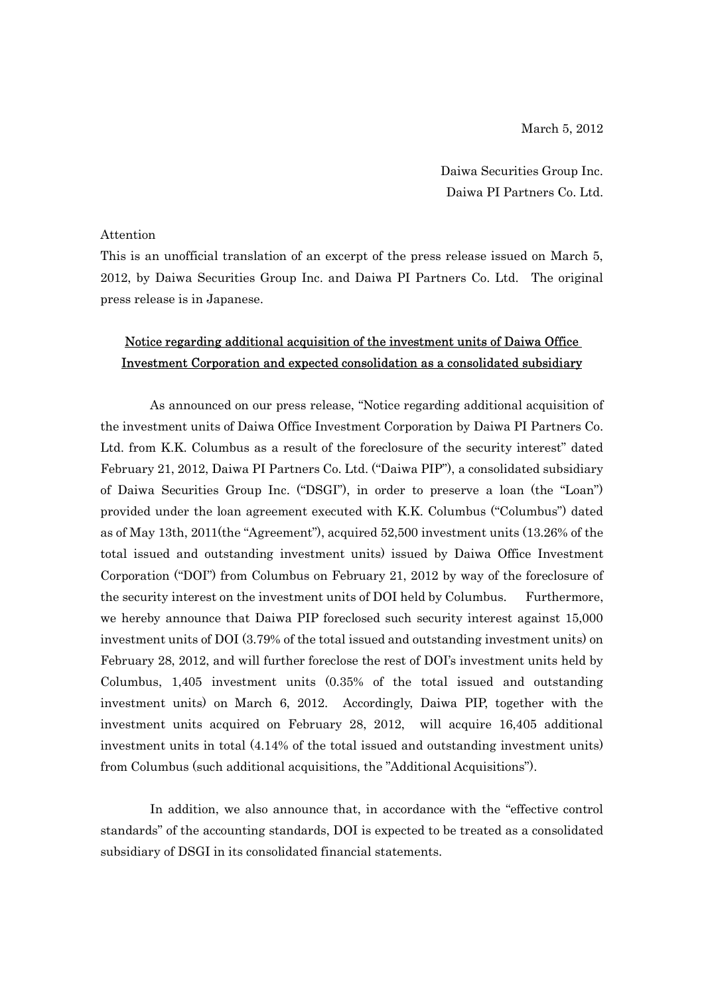March 5, 2012

Daiwa Securities Group Inc. Daiwa PI Partners Co. Ltd.

#### Attention

This is an unofficial translation of an excerpt of the press release issued on March 5, 2012, by Daiwa Securities Group Inc. and Daiwa PI Partners Co. Ltd. The original press release is in Japanese.

# Notice regarding additional acquisition of the investment units of Daiwa Office Investment Corporation and expected consolidation as a consolidated subsidiary

As announced on our press release, "Notice regarding additional acquisition of the investment units of Daiwa Office Investment Corporation by Daiwa PI Partners Co. Ltd. from K.K. Columbus as a result of the foreclosure of the security interest" dated February 21, 2012, Daiwa PI Partners Co. Ltd. ("Daiwa PIP"), a consolidated subsidiary of Daiwa Securities Group Inc. ("DSGI"), in order to preserve a loan (the "Loan") provided under the loan agreement executed with K.K. Columbus ("Columbus") dated as of May 13th, 2011(the "Agreement"), acquired 52,500 investment units (13.26% of the total issued and outstanding investment units) issued by Daiwa Office Investment Corporation ("DOI") from Columbus on February 21, 2012 by way of the foreclosure of the security interest on the investment units of DOI held by Columbus. Furthermore, we hereby announce that Daiwa PIP foreclosed such security interest against 15,000 investment units of DOI (3.79% of the total issued and outstanding investment units) on February 28, 2012, and will further foreclose the rest of DOI's investment units held by Columbus, 1,405 investment units (0.35% of the total issued and outstanding investment units) on March 6, 2012. Accordingly, Daiwa PIP, together with the investment units acquired on February 28, 2012, will acquire 16,405 additional investment units in total (4.14% of the total issued and outstanding investment units) from Columbus (such additional acquisitions, the "Additional Acquisitions").

In addition, we also announce that, in accordance with the "effective control standards" of the accounting standards, DOI is expected to be treated as a consolidated subsidiary of DSGI in its consolidated financial statements.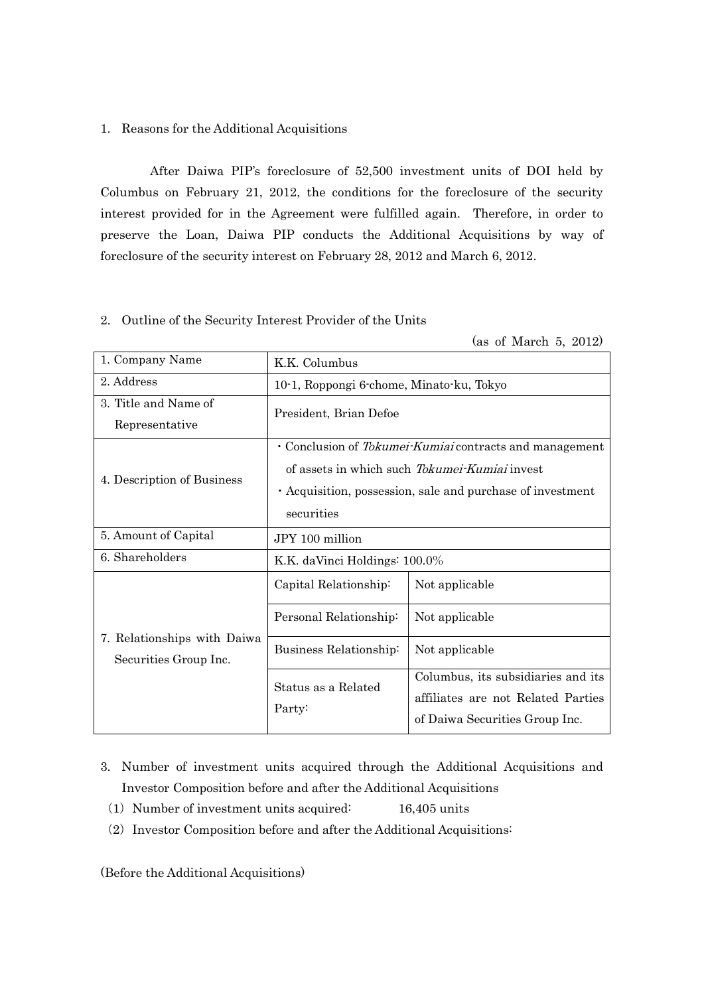### 1. Reasons for the Additional Acquisitions

After Daiwa PIP's foreclosure of 52,500 investment units of DOI held by Columbus on February 21, 2012, the conditions for the foreclosure of the security interest provided for in the Agreement were fulfilled again. Therefore, in order to preserve the Loan, Daiwa PIP conducts the Additional Acquisitions by way of foreclosure of the security interest on February 28, 2012 and March 6, 2012.

## 2. Outline of the Security Interest Provider of the Units

|  |  | (as of March 5, 2012) |  |  |
|--|--|-----------------------|--|--|
|--|--|-----------------------|--|--|

| 1. Company Name                                      | K.K. Columbus                                                                                                                                                                        |                                                                                                            |  |
|------------------------------------------------------|--------------------------------------------------------------------------------------------------------------------------------------------------------------------------------------|------------------------------------------------------------------------------------------------------------|--|
| 2. Address                                           | 10-1, Roppongi 6-chome, Minato-ku, Tokyo                                                                                                                                             |                                                                                                            |  |
| 3. Title and Name of<br>Representative               | President, Brian Defoe                                                                                                                                                               |                                                                                                            |  |
| 4. Description of Business                           | • Conclusion of Tokumei-Kumiai contracts and management<br>of assets in which such Tokumei-Kumiai invest<br>· Acquisition, possession, sale and purchase of investment<br>securities |                                                                                                            |  |
| 5. Amount of Capital                                 | JPY 100 million                                                                                                                                                                      |                                                                                                            |  |
| 6. Shareholders                                      | K.K. daVinci Holdings: 100.0%                                                                                                                                                        |                                                                                                            |  |
|                                                      | Capital Relationship:                                                                                                                                                                | Not applicable                                                                                             |  |
|                                                      | Personal Relationship:                                                                                                                                                               | Not applicable                                                                                             |  |
| 7. Relationships with Daiwa<br>Securities Group Inc. | Business Relationship:                                                                                                                                                               | Not applicable                                                                                             |  |
|                                                      | Status as a Related<br>Party:                                                                                                                                                        | Columbus, its subsidiaries and its<br>affiliates are not Related Parties<br>of Daiwa Securities Group Inc. |  |

- 3. Number of investment units acquired through the Additional Acquisitions and Investor Composition before and after the Additional Acquisitions
	- (1) Number of investment units acquired:  $16,405$  units
	- $(2)$  Investor Composition before and after the Additional Acquisitions:

(Before the Additional Acquisitions)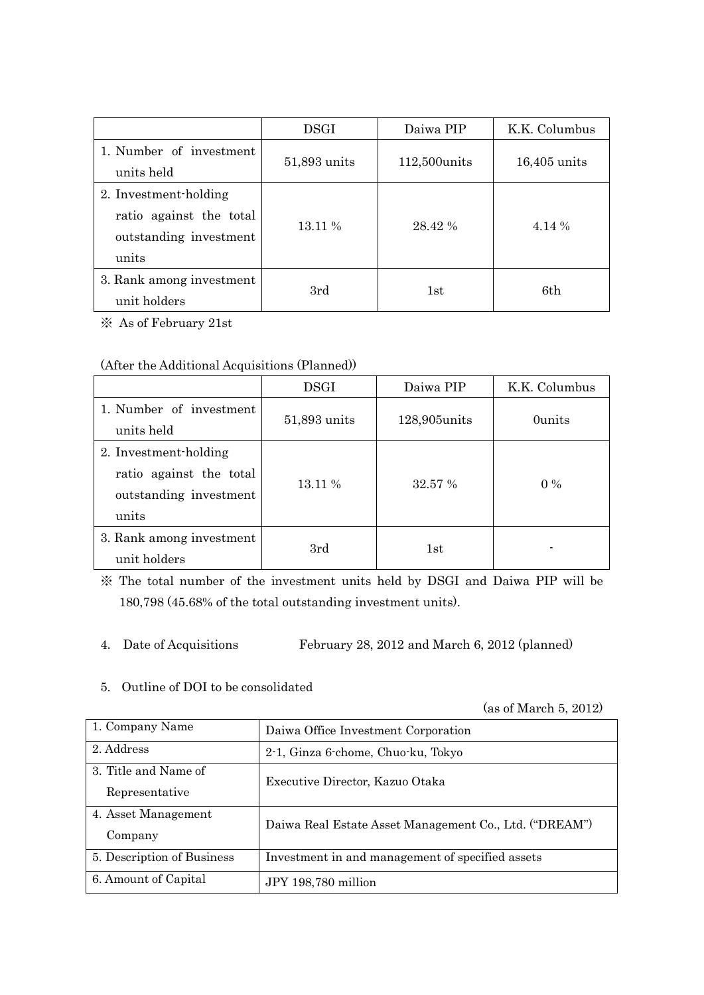|                                                                                     | <b>DSGI</b>  | Daiwa PIP     | K.K. Columbus  |
|-------------------------------------------------------------------------------------|--------------|---------------|----------------|
| 1. Number of investment<br>units held                                               | 51,893 units | 112,500 units | $16,405$ units |
| 2. Investment-holding<br>ratio against the total<br>outstanding investment<br>units | 13.11 %      | 28.42 %       | 4.14 %         |
| 3. Rank among investment<br>unit holders                                            | 3rd          | 1st           | 6th            |

※ As of February 21st

# (After the Additional Acquisitions (Planned))

|                                                                                     | <b>DSGI</b>  | Daiwa PIP    | K.K. Columbus |
|-------------------------------------------------------------------------------------|--------------|--------------|---------------|
| 1. Number of investment<br>units held                                               | 51,893 units | 128,905units | 0units        |
| 2. Investment-holding<br>ratio against the total<br>outstanding investment<br>units | 13.11 %      | 32.57 %      | $0\%$         |
| 3. Rank among investment<br>unit holders                                            | 3rd          | 1st          | -             |

※ The total number of the investment units held by DSGI and Daiwa PIP will be 180,798 (45.68% of the total outstanding investment units).

4. Date of Acquisitions February 28, 2012 and March 6, 2012 (planned)

## 5. Outline of DOI to be consolidated

(as of March 5, 2012)

| 1. Company Name            | Daiwa Office Investment Corporation                    |  |  |
|----------------------------|--------------------------------------------------------|--|--|
| 2. Address                 | 2-1, Ginza 6-chome, Chuo-ku, Tokyo                     |  |  |
| 3. Title and Name of       | Executive Director, Kazuo Otaka                        |  |  |
| Representative             |                                                        |  |  |
| 4. Asset Management        | Daiwa Real Estate Asset Management Co., Ltd. ("DREAM") |  |  |
| Company                    |                                                        |  |  |
| 5. Description of Business | Investment in and management of specified assets       |  |  |
| 6. Amount of Capital       | JPY 198,780 million                                    |  |  |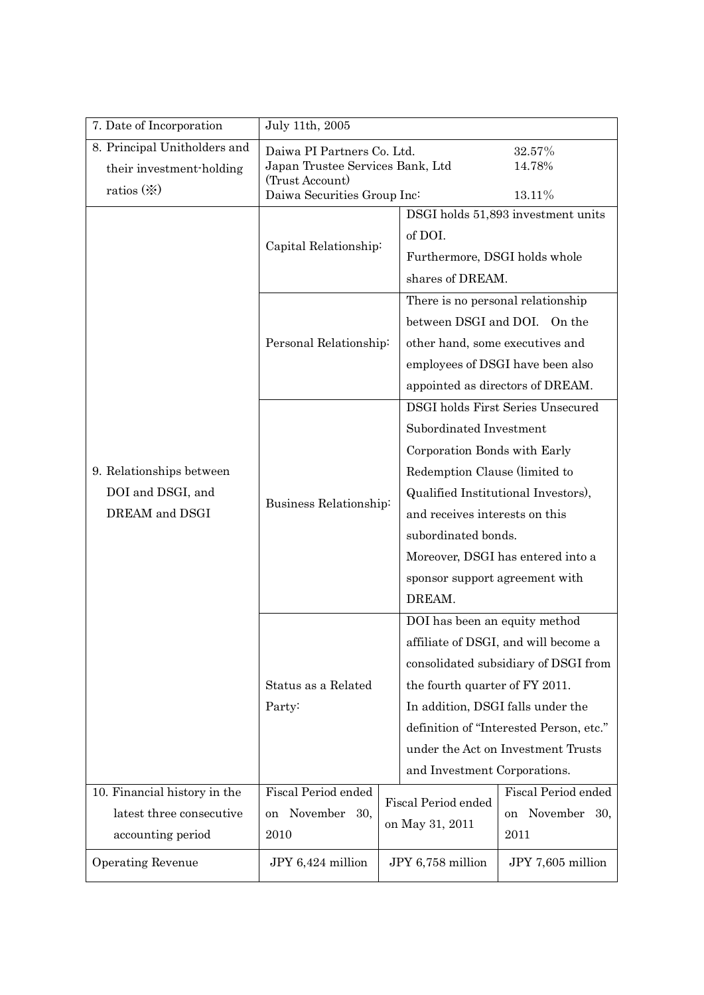| 7. Date of Incorporation                                                      | July 11th, 2005                                                                                                                                                                                                                                                                                                                                 |                                                             |                                                                                                                                                                                                                                                                                                       |                                                                      |
|-------------------------------------------------------------------------------|-------------------------------------------------------------------------------------------------------------------------------------------------------------------------------------------------------------------------------------------------------------------------------------------------------------------------------------------------|-------------------------------------------------------------|-------------------------------------------------------------------------------------------------------------------------------------------------------------------------------------------------------------------------------------------------------------------------------------------------------|----------------------------------------------------------------------|
| 8. Principal Unitholders and<br>their investment-holding<br>ratios $(\%)$     | Daiwa PI Partners Co. Ltd.<br>32.57%<br>Japan Trustee Services Bank, Ltd<br>14.78%<br>(Trust Account)<br>Daiwa Securities Group Inc:<br>13.11%                                                                                                                                                                                                  |                                                             |                                                                                                                                                                                                                                                                                                       |                                                                      |
|                                                                               | Capital Relationship:                                                                                                                                                                                                                                                                                                                           |                                                             | DSGI holds 51,893 investment units<br>of DOI.<br>Furthermore, DSGI holds whole<br>shares of DREAM.                                                                                                                                                                                                    |                                                                      |
|                                                                               | Personal Relationship:                                                                                                                                                                                                                                                                                                                          |                                                             | There is no personal relationship<br>between DSGI and DOI. On the<br>other hand, some executives and                                                                                                                                                                                                  | employees of DSGI have been also<br>appointed as directors of DREAM. |
| 9. Relationships between<br>DOI and DSGI, and<br>DREAM and DSGI               | <b>DSGI</b> holds First Series Unsecured<br>Subordinated Investment<br>Corporation Bonds with Early<br>Redemption Clause (limited to<br>Qualified Institutional Investors),<br>Business Relationship:<br>and receives interests on this<br>subordinated bonds.<br>Moreover, DSGI has entered into a<br>sponsor support agreement with<br>DREAM. |                                                             |                                                                                                                                                                                                                                                                                                       |                                                                      |
|                                                                               | Status as a Related<br>Party:                                                                                                                                                                                                                                                                                                                   |                                                             | DOI has been an equity method<br>affiliate of DSGI, and will become a<br>consolidated subsidiary of DSGI from<br>the fourth quarter of FY 2011.<br>In addition, DSGI falls under the<br>definition of "Interested Person, etc."<br>under the Act on Investment Trusts<br>and Investment Corporations. |                                                                      |
| 10. Financial history in the<br>latest three consecutive<br>accounting period | <b>Fiscal Period ended</b><br>November<br>30,<br><sub>on</sub><br>2010                                                                                                                                                                                                                                                                          | <b>Fiscal Period ended</b><br>on<br>on May 31, 2011<br>2011 |                                                                                                                                                                                                                                                                                                       | Fiscal Period ended<br>November<br>30,                               |
| <b>Operating Revenue</b>                                                      | JPY 6,424 million                                                                                                                                                                                                                                                                                                                               | JPY 6,758 million                                           |                                                                                                                                                                                                                                                                                                       | JPY 7,605 million                                                    |